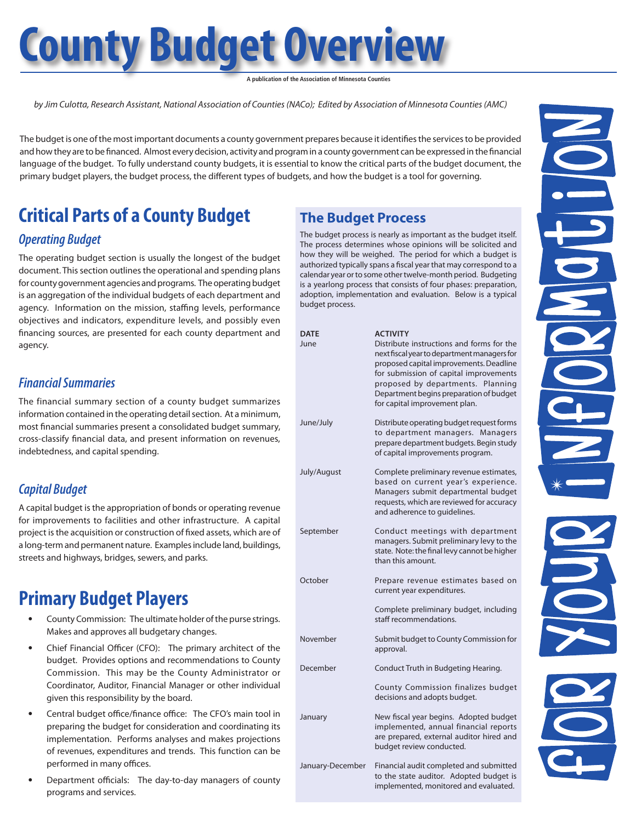# **County Budget Overview**

**A publication of the Association of Minnesota Counties**

*by Jim Culotta, Research Assistant, National Association of Counties (NACo); Edited by Association of Minnesota Counties (AMC)*

The budget is one of the most important documents a county government prepares because it identifies the services to be provided and how they are to be financed. Almost every decision, activity and program in a county government can be expressed in the financial language of the budget. To fully understand county budgets, it is essential to know the critical parts of the budget document, the primary budget players, the budget process, the different types of budgets, and how the budget is a tool for governing.

## **Critical Parts of a County Budget**

#### *Operating Budget*

The operating budget section is usually the longest of the budget document. This section outlines the operational and spending plans for county government agencies and programs. The operating budget is an aggregation of the individual budgets of each department and agency. Information on the mission, staffing levels, performance objectives and indicators, expenditure levels, and possibly even financing sources, are presented for each county department and agency.

#### *Financial Summaries*

The financial summary section of a county budget summarizes information contained in the operating detail section. At a minimum, most financial summaries present a consolidated budget summary, cross-classify financial data, and present information on revenues, indebtedness, and capital spending.

#### *Capital Budget*

A capital budget is the appropriation of bonds or operating revenue for improvements to facilities and other infrastructure. A capital project is the acquisition or construction of fixed assets, which are of a long-term and permanent nature. Examples include land, buildings, streets and highways, bridges, sewers, and parks.

## **Primary Budget Players**

- County Commission: The ultimate holder of the purse strings. Makes and approves all budgetary changes.
- Chief Financial Officer (CFO): The primary architect of the budget. Provides options and recommendations to County Commission. This may be the County Administrator or Coordinator, Auditor, Financial Manager or other individual given this responsibility by the board.
- Central budget office/finance office: The CFO's main tool in preparing the budget for consideration and coordinating its implementation. Performs analyses and makes projections of revenues, expenditures and trends. This function can be performed in many offices.
- Department officials: The day-to-day managers of county programs and services.

### **The Budget Process**

The budget process is nearly as important as the budget itself. The process determines whose opinions will be solicited and how they will be weighed. The period for which a budget is authorized typically spans a fiscal year that may correspond to a calendar year or to some other twelve-month period. Budgeting is a yearlong process that consists of four phases: preparation, adoption, implementation and evaluation. Below is a typical budget process.

| <b>DATE</b><br>June | <b>ACTIVITY</b><br>Distribute instructions and forms for the<br>next fiscal year to department managers for<br>proposed capital improvements. Deadline<br>for submission of capital improvements<br>proposed by departments. Planning<br>Department begins preparation of budget<br>for capital improvement plan. |
|---------------------|-------------------------------------------------------------------------------------------------------------------------------------------------------------------------------------------------------------------------------------------------------------------------------------------------------------------|
| June/July           | Distribute operating budget request forms<br>to department managers. Managers<br>prepare department budgets. Begin study<br>of capital improvements program.                                                                                                                                                      |
| July/August         | Complete preliminary revenue estimates,<br>based on current year's experience.<br>Managers submit departmental budget<br>requests, which are reviewed for accuracy<br>and adherence to quidelines.                                                                                                                |
| September           | Conduct meetings with department<br>managers. Submit preliminary levy to the<br>state. Note: the final levy cannot be higher<br>than this amount.                                                                                                                                                                 |
| October             | Prepare revenue estimates based on<br>current year expenditures.                                                                                                                                                                                                                                                  |
|                     | Complete preliminary budget, including<br>staff recommendations.                                                                                                                                                                                                                                                  |
| November            | Submit budget to County Commission for<br>approval.                                                                                                                                                                                                                                                               |
| December            | Conduct Truth in Budgeting Hearing.                                                                                                                                                                                                                                                                               |
|                     | County Commission finalizes budget<br>decisions and adopts budget.                                                                                                                                                                                                                                                |
| January             | New fiscal year begins. Adopted budget<br>implemented, annual financial reports<br>are prepared, external auditor hired and<br>budget review conducted.                                                                                                                                                           |
| January-December    | Financial audit completed and submitted<br>to the state auditor. Adopted budget is<br>implemented, monitored and evaluated.                                                                                                                                                                                       |